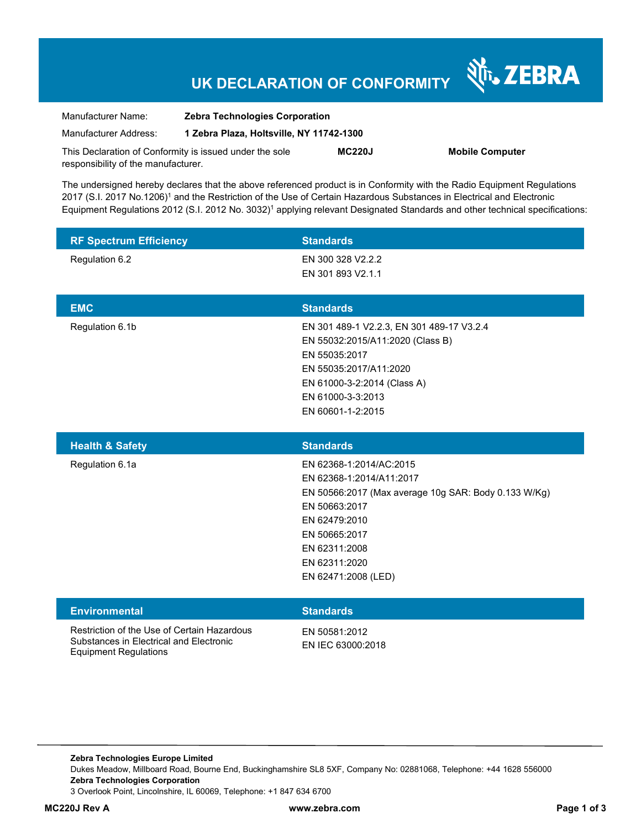# **UK DECLARATION OF CONFORMITY**

| Manufacturer Name:                                      | <b>Zebra Technologies Corporation</b>    |               |     |
|---------------------------------------------------------|------------------------------------------|---------------|-----|
| Manufacturer Address:                                   | 1 Zebra Plaza, Holtsville, NY 11742-1300 |               |     |
| This Declaration of Conformity is issued under the sole |                                          | <b>MC220J</b> | Mob |
| responsibility of the manufacturer.                     |                                          |               |     |

**ile Computer** 

Nr. ZEBRA

The undersigned hereby declares that the above referenced product is in Conformity with the Radio Equipment Regulations 2017 (S.I. 2017 No.1206)<sup>1</sup> and the Restriction of the Use of Certain Hazardous Substances in Electrical and Electronic Equipment Regulations 2012 (S.I. 2012 No. 3032)<sup>1</sup> applying relevant Designated Standards and other technical specifications:

| <b>RF Spectrum Efficiency</b> | <b>Standards</b>                                     |
|-------------------------------|------------------------------------------------------|
| Regulation 6.2                | EN 300 328 V2.2.2                                    |
|                               | EN 301 893 V2.1.1                                    |
|                               |                                                      |
| <b>EMC</b>                    | <b>Standards</b>                                     |
| Regulation 6.1b               | EN 301 489-1 V2.2.3, EN 301 489-17 V3.2.4            |
|                               | EN 55032:2015/A11:2020 (Class B)                     |
|                               | EN 55035:2017<br>EN 55035:2017/A11:2020              |
|                               | EN 61000-3-2:2014 (Class A)                          |
|                               | EN 61000-3-3:2013                                    |
|                               | EN 60601-1-2:2015                                    |
|                               |                                                      |
|                               |                                                      |
| <b>Health &amp; Safety</b>    | <b>Standards</b>                                     |
| Regulation 6.1a               | EN 62368-1:2014/AC:2015                              |
|                               | EN 62368-1:2014/A11:2017                             |
|                               | EN 50566:2017 (Max average 10g SAR: Body 0.133 W/Kg) |
|                               | EN 50663:2017                                        |
|                               | EN 62479:2010                                        |
|                               | EN 50665:2017<br>EN 62311:2008                       |
|                               | EN 62311:2020                                        |
|                               | EN 62471:2008 (LED)                                  |
|                               |                                                      |
| <b>Environmental</b>          | <b>Standards</b>                                     |

**Zebra Technologies Europe Limited**  Dukes Meadow, Millboard Road, Bourne End, Buckinghamshire SL8 5XF, Company No: 02881068, Telephone: +44 1628 556000 **Zebra Technologies Corporation**  3 Overlook Point, Lincolnshire, IL 60069, Telephone: +1 847 634 6700

Equipment Regulations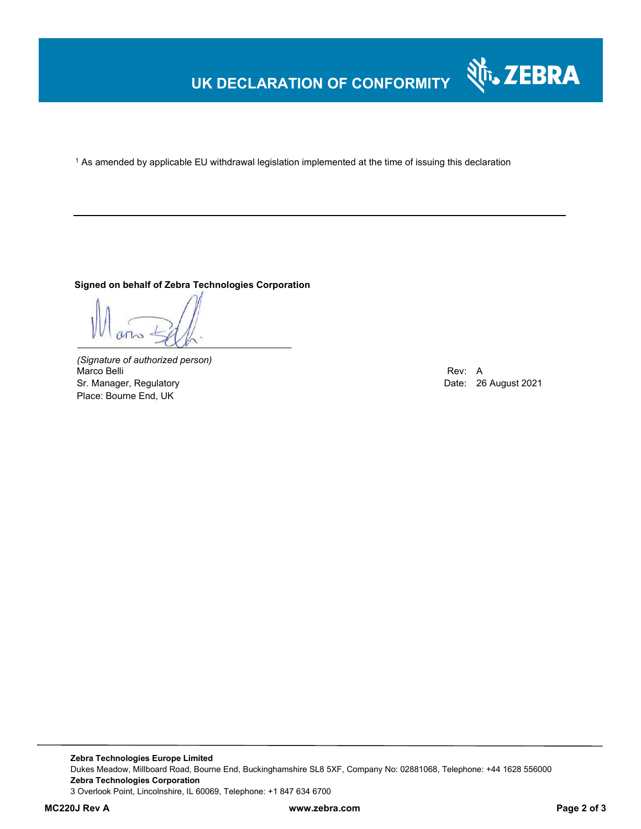# **UK DECLARATION OF CONFORMITY**

 $^{\rm 1}$  As amended by applicable EU withdrawal legislation implemented at the time of issuing this declaration

#### **Signed on behalf of Zebra Technologies Corporation**

*(Signature of authorized person)* Marco Belli Rev: A Sr. Manager, Regulatory **Date: 26 August 2021** Controller Manager, Regulatory **Date: 26 August 2021** Place: Bourne End, UK

Nr. ZEBRA

**Zebra Technologies Europe Limited**  Dukes Meadow, Millboard Road, Bourne End, Buckinghamshire SL8 5XF, Company No: 02881068, Telephone: +44 1628 556000 **Zebra Technologies Corporation**  3 Overlook Point, Lincolnshire, IL 60069, Telephone: +1 847 634 6700